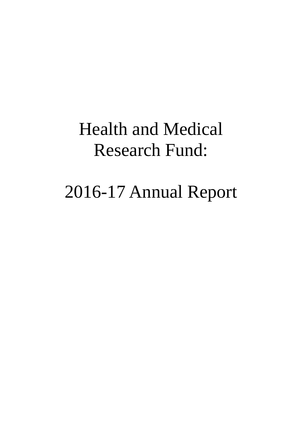# Health and Medical Research Fund:

# 2016-17 Annual Report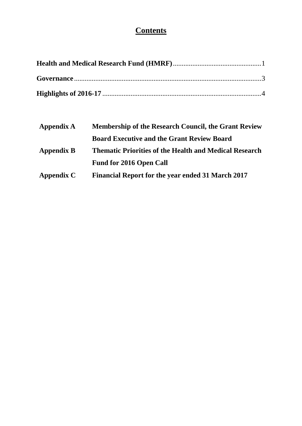# **Contents**

| Appendix A        | <b>Membership of the Research Council, the Grant Review</b>   |  |
|-------------------|---------------------------------------------------------------|--|
|                   | <b>Board Executive and the Grant Review Board</b>             |  |
| <b>Appendix B</b> | <b>Thematic Priorities of the Health and Medical Research</b> |  |
|                   | <b>Fund for 2016 Open Call</b>                                |  |
| Appendix C        | <b>Financial Report for the year ended 31 March 2017</b>      |  |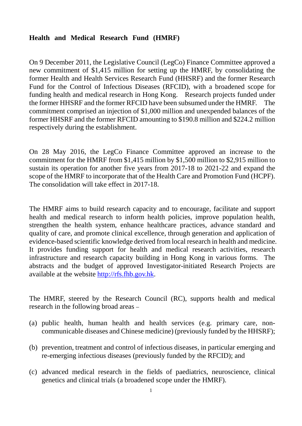# <span id="page-2-0"></span>**Health and Medical Research Fund (HMRF)**

On 9 December 2011, the Legislative Council (LegCo) Finance Committee approved a new commitment of \$1,415 million for setting up the HMRF, by consolidating the former Health and Health Services Research Fund (HHSRF) and the former Research Fund for the Control of Infectious Diseases (RFCID), with a broadened scope for funding health and medical research in Hong Kong. Research projects funded under the former HHSRF and the former RFCID have been subsumed under the HMRF. The commitment comprised an injection of \$1,000 million and unexpended balances of the former HHSRF and the former RFCID amounting to \$190.8 million and \$224.2 million respectively during the establishment.

On 28 May 2016, the LegCo Finance Committee approved an increase to the commitment for the HMRF from \$1,415 million by \$1,500 million to \$2,915 million to sustain its operation for another five years from 2017-18 to 2021-22 and expand the scope of the HMRF to incorporate that of the Health Care and Promotion Fund (HCPF). The consolidation will take effect in 2017-18.

The HMRF aims to build research capacity and to encourage, facilitate and support health and medical research to inform health policies, improve population health, strengthen the health system, enhance healthcare practices, advance standard and quality of care, and promote clinical excellence, through generation and application of evidence-based scientific knowledge derived from local research in health and medicine. It provides funding support for health and medical research activities, research infrastructure and research capacity building in Hong Kong in various forms. The abstracts and the budget of approved Investigator-initiated Research Projects are available at the website [http://rfs.fhb.gov.hk.](http://rfs.fhb.gov.hk/)

The HMRF, steered by the Research Council (RC), supports health and medical research in the following broad areas –

- (a) public health, human health and health services (e.g. primary care, noncommunicable diseases and Chinese medicine) (previously funded by the HHSRF);
- (b) prevention, treatment and control of infectious diseases, in particular emerging and re-emerging infectious diseases (previously funded by the RFCID); and
- (c) advanced medical research in the fields of paediatrics, neuroscience, clinical genetics and clinical trials (a broadened scope under the HMRF).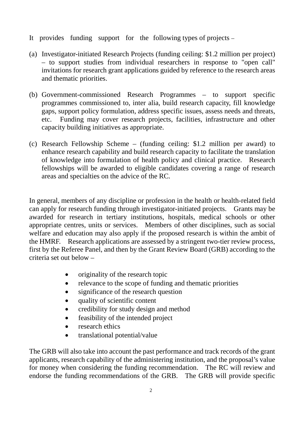- It provides funding support for the following types of projects –
- (a) Investigator-initiated Research Projects (funding ceiling: \$1.2 million per project) – to support studies from individual researchers in response to "open call" invitations for research grant applications guided by reference to the research areas and thematic priorities.
- (b) Government-commissioned Research Programmes to support specific programmes commissioned to, inter alia, build research capacity, fill knowledge gaps, support policy formulation, address specific issues, assess needs and threats, etc. Funding may cover research projects, facilities, infrastructure and other capacity building initiatives as appropriate.
- (c) Research Fellowship Scheme (funding ceiling: \$1.2 million per award) to enhance research capability and build research capacity to facilitate the translation of knowledge into formulation of health policy and clinical practice. Research fellowships will be awarded to eligible candidates covering a range of research areas and specialties on the advice of the RC.

In general, members of any discipline or profession in the health or health-related field can apply for research funding through investigator-initiated projects. Grants may be awarded for research in tertiary institutions, hospitals, medical schools or other appropriate centres, units or services. Members of other disciplines, such as social welfare and education may also apply if the proposed research is within the ambit of the HMRF. Research applications are assessed by a stringent two-tier review process, first by the Referee Panel, and then by the Grant Review Board (GRB) according to the criteria set out below –

- originality of the research topic
- relevance to the scope of funding and thematic priorities
- significance of the research question
- quality of scientific content
- credibility for study design and method
- feasibility of the intended project
- research ethics
- translational potential/value

The GRB will also take into account the past performance and track records of the grant applicants, research capability of the administering institution, and the proposal's value for money when considering the funding recommendation. The RC will review and endorse the funding recommendations of the GRB. The GRB will provide specific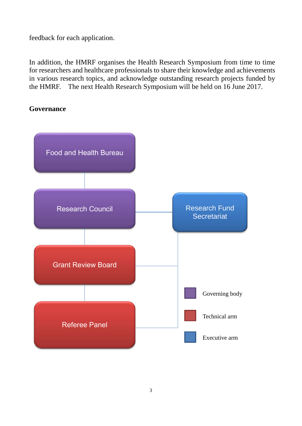feedback for each application.

In addition, the HMRF organises the Health Research Symposium from time to time for researchers and healthcare professionals to share their knowledge and achievements in various research topics, and acknowledge outstanding research projects funded by the HMRF. The next Health Research Symposium will be held on 16 June 2017.

# <span id="page-4-0"></span>**Governance**

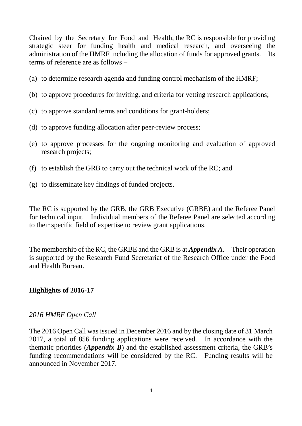Chaired by the Secretary for Food and Health, the RC is responsible for providing strategic steer for funding health and medical research, and overseeing the administration of the HMRF including the allocation of funds for approved grants. Its terms of reference are as follows –

- (a) to determine research agenda and funding control mechanism of the HMRF;
- (b) to approve procedures for inviting, and criteria for vetting research applications;
- (c) to approve standard terms and conditions for grant-holders;
- (d) to approve funding allocation after peer-review process;
- (e) to approve processes for the ongoing monitoring and evaluation of approved research projects;
- (f) to establish the GRB to carry out the technical work of the RC; and
- (g) to disseminate key findings of funded projects.

The RC is supported by the GRB, the GRB Executive (GRBE) and the Referee Panel for technical input. Individual members of the Referee Panel are selected according to their specific field of expertise to review grant applications.

The membership of the RC, the GRBE and the GRB is at *Appendix A*. Their operation is supported by the Research Fund Secretariat of the Research Office under the Food and Health Bureau.

# <span id="page-5-0"></span>**Highlights of 2016-17**

# *2016 HMRF Open Call*

The 2016 Open Call was issued in December 2016 and by the closing date of 31 March 2017, a total of 856 funding applications were received. In accordance with the thematic priorities (*Appendix B*) and the established assessment criteria, the GRB's funding recommendations will be considered by the RC. Funding results will be announced in November 2017.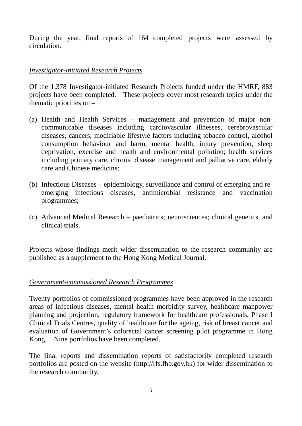During the year, final reports of 164 completed projects were assessed by circulation.

# *Investigator-initiated Research Projects*

Of the 1,378 Investigator-initiated Research Projects funded under the HMRF, 883 projects have been completed. These projects cover most research topics under the thematic priorities on –

- (a) Health and Health Services management and prevention of major noncommunicable diseases including cardiovascular illnesses, cerebrovascular diseases, cancers; modifiable lifestyle factors including tobacco control, alcohol consumption behaviour and harm, mental health, injury prevention, sleep deprivation, exercise and health and environmental pollution; health services including primary care, chronic disease management and palliative care, elderly care and Chinese medicine;
- (b) Infectious Diseases epidemiology, surveillance and control of emerging and reemerging infectious diseases, antimicrobial resistance and vaccination programmes;
- (c) Advanced Medical Research paediatrics; neurosciences; clinical genetics, and clinical trials.

Projects whose findings merit wider dissemination to the research community are published as a supplement to the Hong Kong Medical Journal.

# *Government-commissioned Research Programmes*

Twenty portfolios of commissioned programmes have been approved in the research areas of infectious diseases, mental health morbidity survey, healthcare manpower planning and projection, regulatory framework for healthcare professionals, Phase I Clinical Trials Centres, quality of healthcare for the ageing, risk of breast cancer and evaluation of Government's colorectal cancer screening pilot programme in Hong Kong. Nine portfolios have been completed.

The final reports and dissemination reports of satisfactorily completed research portfolios are posted on the website [\(http://rfs.fhb.gov.hk\)](http://rfs.fhb.gov.hk/) for wider dissemination to the research community.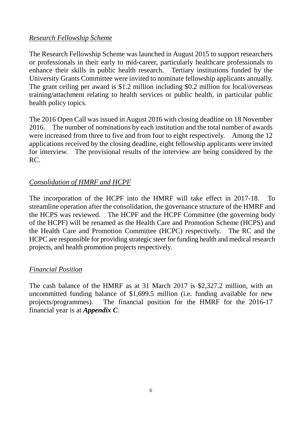# *Research Fellowship Scheme*

The Research Fellowship Scheme was launched in August 2015 to support researchers or professionals in their early to mid-career, particularly healthcare professionals to enhance their skills in public health research. Tertiary institutions funded by the University Grants Committee were invited to nominate fellowship applicants annually. The grant ceiling per award is \$1.2 million including \$0.2 million for local/overseas training/attachment relating to health services or public health, in particular public health policy topics.

The 2016 Open Call was issued in August 2016 with closing deadline on 18 November 2016. The number of nominations by each institution and the total number of awards were increased from three to five and from four to eight respectively. Among the 12 applications received by the closing deadline, eight fellowship applicants were invited for interview. The provisional results of the interview are being considered by the RC.

# *Consolidation of HMRF and HCPF*

The incorporation of the HCPF into the HMRF will take effect in 2017-18. To streamline operation after the consolidation, the governance structure of the HMRF and the HCPS was reviewed. The HCPF and the HCPF Committee (the governing body of the HCPF) will be renamed as the Health Care and Promotion Scheme (HCPS) and the Health Care and Promotion Committee (HCPC) respectively. The RC and the HCPC are responsible for providing strategic steer for funding health and medical research projects, and health promotion projects respectively.

# *Financial Position*

The cash balance of the HMRF as at 31 March 2017 is \$2,327.2 million, with an uncommitted funding balance of \$1,699.5 million (i.e. funding available for new projects/programmes). The financial position for the HMRF for the 2016-17 financial year is at *Appendix C*.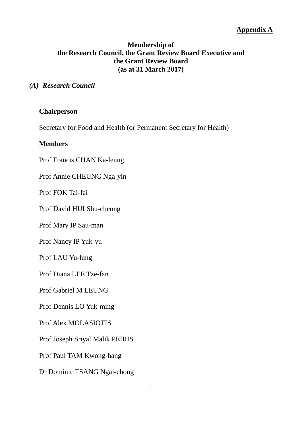# **Membership of the Research Council, the Grant Review Board Executive and the Grant Review Board (as at 31 March 2017)**

#### *(A) Research Council*

#### **Chairperson**

Secretary for Food and Health (or Permanent Secretary for Health)

#### **Members**

Prof Francis CHAN Ka-leung

Prof Annie CHEUNG Nga-yin

Prof FOK Tai-fai

Prof David HUI Shu-cheong

Prof Mary IP Sau-man

Prof Nancy IP Yuk-yu

Prof LAU Yu-lung

Prof Diana LEE Tze-fan

Prof Gabriel M LEUNG

Prof Dennis LO Yuk-ming

Prof Alex MOLASIOTIS

Prof Joseph Sriyal Malik PEIRIS

Prof Paul TAM Kwong-hang

Dr Dominic TSANG Ngai-chong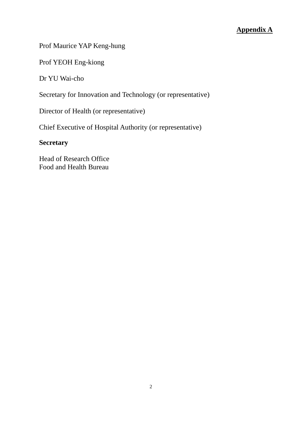# Prof Maurice YAP Keng-hung

Prof YEOH Eng-kiong

Dr YU Wai-cho

Secretary for Innovation and Technology (or representative)

Director of Health (or representative)

Chief Executive of Hospital Authority (or representative)

# **Secretary**

Head of Research Office Food and Health Bureau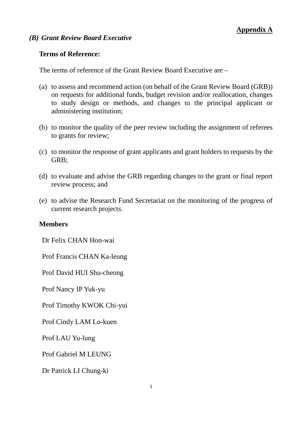#### *(B) Grant Review Board Executive*

#### **Terms of Reference:**

The terms of reference of the Grant Review Board Executive are –

- (a) to assess and recommend action (on behalf of the Grant Review Board (GRB)) on requests for additional funds, budget revision and/or reallocation, changes to study design or methods, and changes to the principal applicant or administering institution;
- (b) to monitor the quality of the peer review including the assignment of referees to grants for review;
- (c) to monitor the response of grant applicants and grant holders to requests by the GRB;
- (d) to evaluate and advise the GRB regarding changes to the grant or final report review process; and
- (e) to advise the Research Fund Secretariat on the monitoring of the progress of current research projects.

#### **Members**

Dr Felix CHAN Hon-wai

Prof Francis CHAN Ka-leung

Prof David HUI Shu-cheong

Prof Nancy IP Yuk-yu

Prof Timothy KWOK Chi-yui

Prof Cindy LAM Lo-kuen

Prof LAU Yu-lung

Prof Gabriel M LEUNG

Dr Patrick LI Chung-ki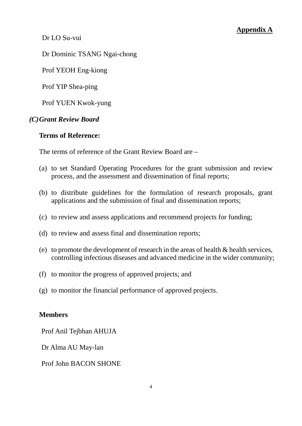Dr LO Su-vui

Dr Dominic TSANG Ngai-chong

Prof YEOH Eng-kiong

Prof YIP Shea-ping

Prof YUEN Kwok-yung

# *(C)Grant Review Board*

### **Terms of Reference:**

The terms of reference of the Grant Review Board are –

- (a) to set Standard Operating Procedures for the grant submission and review process, and the assessment and dissemination of final reports;
- (b) to distribute guidelines for the formulation of research proposals, grant applications and the submission of final and dissemination reports;
- (c) to review and assess applications and recommend projects for funding;
- (d) to review and assess final and dissemination reports;
- (e) to promote the development of research in the areas of health  $\&$  health services, controlling infectious diseases and advanced medicine in the wider community;
- (f) to monitor the progress of approved projects; and
- (g) to monitor the financial performance of approved projects.

# **Members**

Prof Anil Tejbhan AHUJA

Dr Alma AU May-lan

Prof John BACON SHONE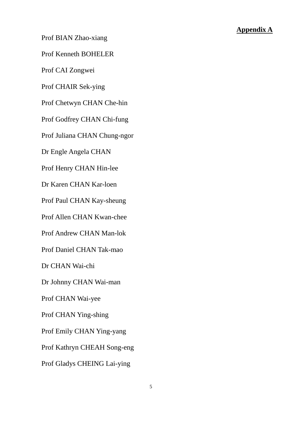Prof BIAN Zhao-xiang

Prof Kenneth BOHELER

Prof CAI Zongwei

Prof CHAIR Sek-ying

Prof Chetwyn CHAN Che-hin

Prof Godfrey CHAN Chi-fung

Prof Juliana CHAN Chung-ngor

Dr Engle Angela CHAN

Prof Henry CHAN Hin-lee

Dr Karen CHAN Kar-loen

Prof Paul CHAN Kay-sheung

Prof Allen CHAN Kwan-chee

Prof Andrew CHAN Man-lok

Prof Daniel CHAN Tak-mao

Dr CHAN Wai-chi

Dr Johnny CHAN Wai-man

Prof CHAN Wai-yee

Prof CHAN Ying-shing

Prof Emily CHAN Ying-yang

Prof Kathryn CHEAH Song-eng

Prof Gladys CHEING Lai-ying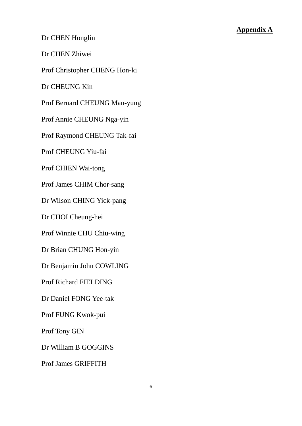Dr CHEN Honglin

Dr CHEN Zhiwei

Prof Christopher CHENG Hon-ki

Dr CHEUNG Kin

Prof Bernard CHEUNG Man-yung

Prof Annie CHEUNG Nga-yin

Prof Raymond CHEUNG Tak-fai

Prof CHEUNG Yiu-fai

Prof CHIEN Wai-tong

Prof James CHIM Chor-sang

Dr Wilson CHING Yick-pang

Dr CHOI Cheung-hei

Prof Winnie CHU Chiu-wing

Dr Brian CHUNG Hon-yin

Dr Benjamin John COWLING

Prof Richard FIELDING

Dr Daniel FONG Yee-tak

Prof FUNG Kwok-pui

Prof Tony GIN

Dr William B GOGGINS

Prof James GRIFFITH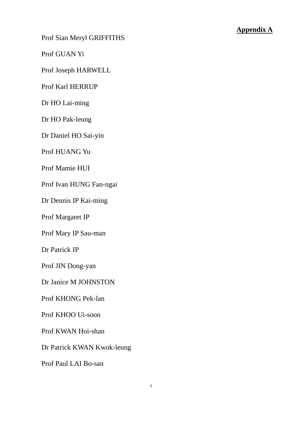Prof Sian Meryl GRIFFITHS

Prof GUAN Yi

Prof Joseph HARWELL

Prof Karl HERRUP

Dr HO Lai-ming

Dr HO Pak-leung

Dr Daniel HO Sai-yin

Prof HUANG Yu

Prof Mamie HUI

Prof Ivan HUNG Fan-ngai

Dr Dennis IP Kai-ming

Prof Margaret IP

Prof Mary IP Sau-man

Dr Patrick IP

Prof JIN Dong-yan

Dr Janice M JOHNSTON

Prof KHONG Pek-lan

Prof KHOO Ui-soon

Prof KWAN Hoi-shan

Dr Patrick KWAN Kwok-leung

Prof Paul LAI Bo-san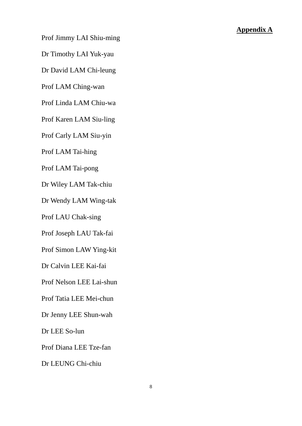Prof Jimmy LAI Shiu-ming

Dr Timothy LAI Yuk-yau

Dr David LAM Chi-leung

Prof LAM Ching-wan

Prof Linda LAM Chiu-wa

Prof Karen LAM Siu-ling

Prof Carly LAM Siu-yin

Prof LAM Tai-hing

Prof LAM Tai-pong

Dr Wiley LAM Tak-chiu

Dr Wendy LAM Wing-tak

Prof LAU Chak-sing

Prof Joseph LAU Tak-fai

Prof Simon LAW Ying-kit

Dr Calvin LEE Kai-fai

Prof Nelson LEE Lai-shun

Prof Tatia LEE Mei-chun

Dr Jenny LEE Shun-wah

Dr LEE So-lun

Prof Diana LEE Tze-fan

Dr LEUNG Chi-chiu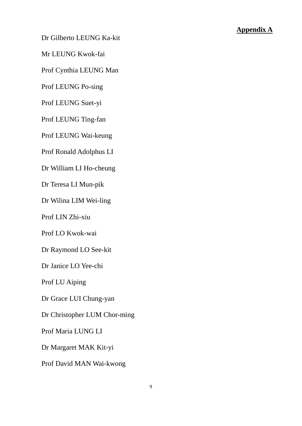Dr Gilberto LEUNG Ka-kit

Mr LEUNG Kwok-fai

Prof Cynthia LEUNG Man

Prof LEUNG Po-sing

Prof LEUNG Suet-yi

Prof LEUNG Ting-fan

Prof LEUNG Wai-keung

Prof Ronald Adolphus LI

Dr William LI Ho-cheung

Dr Teresa LI Mun-pik

Dr Wilina LIM Wei-ling

Prof LIN Zhi-xiu

Prof LO Kwok-wai

Dr Raymond LO See-kit

Dr Janice LO Yee-chi

Prof LU Aiping

Dr Grace LUI Chung-yan

Dr Christopher LUM Chor-ming

Prof Maria LUNG LI

Dr Margaret MAK Kit-yi

Prof David MAN Wai-kwong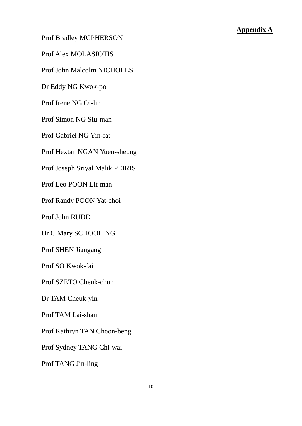Prof Bradley MCPHERSON

Prof Alex MOLASIOTIS

Prof John Malcolm NICHOLLS

Dr Eddy NG Kwok-po

Prof Irene NG Oi-lin

Prof Simon NG Siu-man

Prof Gabriel NG Yin-fat

Prof Hextan NGAN Yuen-sheung

Prof Joseph Sriyal Malik PEIRIS

Prof Leo POON Lit-man

Prof Randy POON Yat-choi

Prof John RUDD

Dr C Mary SCHOOLING

Prof SHEN Jiangang

Prof SO Kwok-fai

Prof SZETO Cheuk-chun

Dr TAM Cheuk-yin

Prof TAM Lai-shan

Prof Kathryn TAN Choon-beng

Prof Sydney TANG Chi-wai

Prof TANG Jin-ling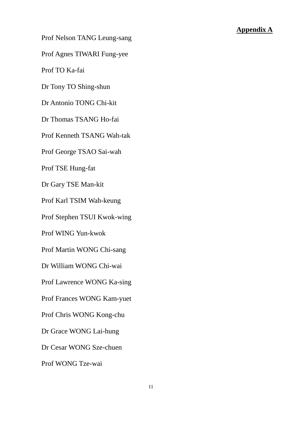Prof Nelson TANG Leung-sang

Prof Agnes TIWARI Fung-yee

Prof TO Ka-fai

Dr Tony TO Shing-shun

Dr Antonio TONG Chi-kit

Dr Thomas TSANG Ho-fai

Prof Kenneth TSANG Wah-tak

Prof George TSAO Sai-wah

Prof TSE Hung-fat

Dr Gary TSE Man-kit

Prof Karl TSIM Wah-keung

Prof Stephen TSUI Kwok-wing

Prof WING Yun-kwok

Prof Martin WONG Chi-sang

Dr William WONG Chi-wai

Prof Lawrence WONG Ka-sing

Prof Frances WONG Kam-yuet

Prof Chris WONG Kong-chu

Dr Grace WONG Lai-hung

Dr Cesar WONG Sze-chuen

Prof WONG Tze-wai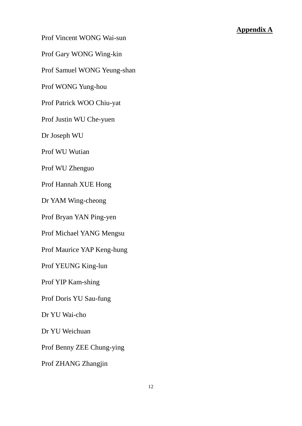Prof Vincent WONG Wai-sun

Prof Gary WONG Wing-kin

Prof Samuel WONG Yeung-shan

Prof WONG Yung-hou

Prof Patrick WOO Chiu-yat

Prof Justin WU Che-yuen

Dr Joseph WU

Prof WU Wutian

Prof WU Zhenguo

Prof Hannah XUE Hong

Dr YAM Wing-cheong

Prof Bryan YAN Ping-yen

Prof Michael YANG Mengsu

Prof Maurice YAP Keng-hung

Prof YEUNG King-lun

Prof YIP Kam-shing

Prof Doris YU Sau-fung

Dr YU Wai-cho

Dr YU Weichuan

Prof Benny ZEE Chung-ying

Prof ZHANG Zhangjin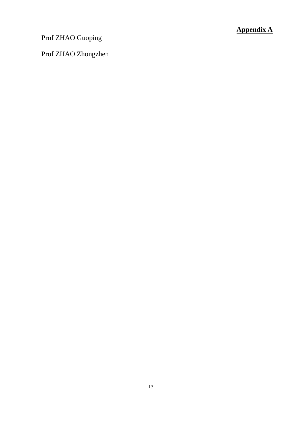Prof ZHAO Guoping

Prof ZHAO Zhongzhen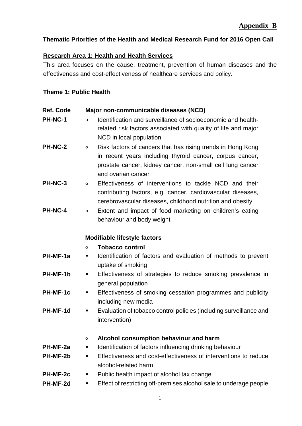# **Thematic Priorities of the Health and Medical Research Fund for 2016 Open Call**

# **Research Area 1: Health and Health Services**

This area focuses on the cause, treatment, prevention of human diseases and the effectiveness and cost-effectiveness of healthcare services and policy.

#### **Theme 1: Public Health**

| <b>Ref. Code</b> | Major non-communicable diseases (NCD)                                                                         |  |  |
|------------------|---------------------------------------------------------------------------------------------------------------|--|--|
| PH-NC-1          | Identification and surveillance of socioeconomic and health-<br>$\circ$                                       |  |  |
|                  | related risk factors associated with quality of life and major                                                |  |  |
|                  | NCD in local population                                                                                       |  |  |
| <b>PH-NC-2</b>   | Risk factors of cancers that has rising trends in Hong Kong<br>$\circ$                                        |  |  |
|                  | in recent years including thyroid cancer, corpus cancer,                                                      |  |  |
|                  | prostate cancer, kidney cancer, non-small cell lung cancer                                                    |  |  |
|                  | and ovarian cancer                                                                                            |  |  |
| PH-NC-3          | Effectiveness of interventions to tackle NCD and their<br>$\circ$                                             |  |  |
|                  | contributing factors, e.g. cancer, cardiovascular diseases,                                                   |  |  |
|                  | cerebrovascular diseases, childhood nutrition and obesity                                                     |  |  |
| PH-NC-4          | Extent and impact of food marketing on children's eating<br>$\circ$                                           |  |  |
|                  | behaviour and body weight                                                                                     |  |  |
|                  | <b>Modifiable lifestyle factors</b>                                                                           |  |  |
|                  | <b>Tobacco control</b><br>$\circ$                                                                             |  |  |
| PH-MF-1a         | Identification of factors and evaluation of methods to prevent<br>ш                                           |  |  |
|                  | uptake of smoking                                                                                             |  |  |
| PH-MF-1b         | Effectiveness of strategies to reduce smoking prevalence in<br>п                                              |  |  |
|                  | general population                                                                                            |  |  |
| PH-MF-1c         | Effectiveness of smoking cessation programmes and publicity<br>п                                              |  |  |
|                  | including new media                                                                                           |  |  |
| PH-MF-1d         | Evaluation of tobacco control policies (including surveillance and<br>п                                       |  |  |
|                  | intervention)                                                                                                 |  |  |
|                  |                                                                                                               |  |  |
| PH-MF-2a         | Alcohol consumption behaviour and harm<br>$\circ$<br>Identification of factors influencing drinking behaviour |  |  |
| PH-MF-2b         | Effectiveness and cost-effectiveness of interventions to reduce                                               |  |  |
|                  | alcohol-related harm                                                                                          |  |  |
| PH-MF-2c         | Public health impact of alcohol tax change<br>п                                                               |  |  |
| PH-MF-2d         | Effect of restricting off-premises alcohol sale to underage people                                            |  |  |
|                  |                                                                                                               |  |  |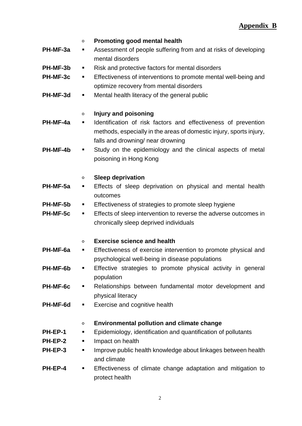|          | Promoting good mental health                                          |  |
|----------|-----------------------------------------------------------------------|--|
| PH-MF-3a | Assessment of people suffering from and at risks of developing        |  |
|          | mental disorders                                                      |  |
| PH-MF-3b | Risk and protective factors for mental disorders<br>п                 |  |
| PH-MF-3c | Effectiveness of interventions to promote mental well-being and<br>٠  |  |
|          | optimize recovery from mental disorders                               |  |
|          |                                                                       |  |
| PH-MF-3d | Mental health literacy of the general public<br>п                     |  |
|          |                                                                       |  |
|          | Injury and poisoning<br>$\circ$                                       |  |
| PH-MF-4a | Identification of risk factors and effectiveness of prevention<br>п   |  |
|          | methods, especially in the areas of domestic injury, sports injury,   |  |
|          | falls and drowning/ near drowning                                     |  |
| PH-MF-4b | Study on the epidemiology and the clinical aspects of metal           |  |
|          | poisoning in Hong Kong                                                |  |
|          |                                                                       |  |
|          | <b>Sleep deprivation</b><br>$\circ$                                   |  |
| PH-MF-5a | Effects of sleep deprivation on physical and mental health<br>п       |  |
|          | outcomes                                                              |  |
| PH-MF-5b | Effectiveness of strategies to promote sleep hygiene<br>п             |  |
| PH-MF-5c | Effects of sleep intervention to reverse the adverse outcomes in<br>п |  |
|          | chronically sleep deprived individuals                                |  |
|          |                                                                       |  |
|          |                                                                       |  |
|          | <b>Exercise science and health</b><br>$\circ$                         |  |
| PH-MF-6a | Effectiveness of exercise intervention to promote physical and<br>ш   |  |
|          | psychological well-being in disease populations                       |  |
| PH-MF-6b | Effective strategies to promote physical activity in general<br>п     |  |
|          | population                                                            |  |
| PH-MF-6c | Relationships between fundamental motor development and<br>Ξ          |  |
|          | physical literacy                                                     |  |
| PH-MF-6d | Exercise and cognitive health<br>п                                    |  |
|          |                                                                       |  |
|          | <b>Environmental pollution and climate change</b><br>$\circ$          |  |
| PH-EP-1  | Epidemiology, identification and quantification of pollutants<br>п    |  |
| PH-EP-2  | Impact on health<br>п                                                 |  |
| PH-EP-3  | Improve public health knowledge about linkages between health<br>ш    |  |
|          | and climate                                                           |  |
| PH-EP-4  | Effectiveness of climate change adaptation and mitigation to<br>п     |  |
|          |                                                                       |  |
|          | protect health                                                        |  |

2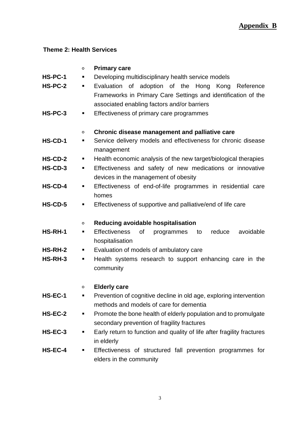### **Theme 2: Health Services**

# ○ **Primary care**

- **HS-PC-1** Developing multidisciplinary health service models
- **HS-PC-2** Evaluation of adoption of the Hong Kong Reference Frameworks in Primary Care Settings and identification of the associated enabling factors and/or barriers
- **HS-PC-3** Effectiveness of primary care programmes

#### ○ **Chronic disease management and palliative care**

- **HS-CD-1** Service delivery models and effectiveness for chronic disease management
- **HS-CD-2** Health economic analysis of the new target/biological therapies
- **HS-CD-3** Effectiveness and safety of new medications or innovative devices in the management of obesity
- **HS-CD-4** Effectiveness of end-of-life programmes in residential care homes
- **HS-CD-5** Effectiveness of supportive and palliative/end of life care

#### ○ **Reducing avoidable hospitalisation**

- **HS-RH-1** Effectiveness of programmes to reduce avoidable hospitalisation
- **HS-RH-2** Evaluation of models of ambulatory care
- **HS-RH-3** Health systems research to support enhancing care in the community

#### ○ **Elderly care**

- **HS-EC-1** Prevention of cognitive decline in old age, exploring intervention methods and models of care for dementia
- **HS-EC-2 •** Promote the bone health of elderly population and to promulgate secondary prevention of fragility fractures
- **HS-EC-3** Early return to function and quality of life after fragility fractures in elderly
- **HS-EC-4** Effectiveness of structured fall prevention programmes for elders in the community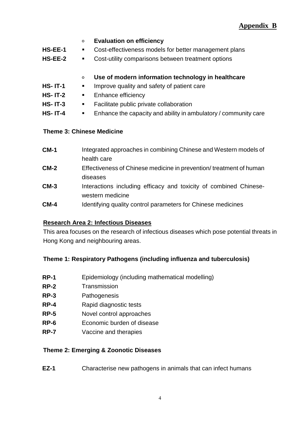# **Appendix B**

### ○ **Evaluation on efficiency**

- **HS-EE-1** Cost-effectiveness models for better management plans
- **HS-EE-2** Cost-utility comparisons between treatment options

## ○ **Use of modern information technology in healthcare**

- **HS- IT-1** Improve quality and safety of patient care
- **HS- IT-2** Enhance efficiency
- **HS- IT-3** Facilitate public private collaboration
- **HS- IT-4** Enhance the capacity and ability in ambulatory / community care

### **Theme 3: Chinese Medicine**

| $CM-1$ | Integrated approaches in combining Chinese and Western models of   |
|--------|--------------------------------------------------------------------|
|        | health care                                                        |
| $CM-2$ | Effectiveness of Chinese medicine in prevention/treatment of human |
|        | diseases                                                           |
| $CM-3$ | Interactions including efficacy and toxicity of combined Chinese-  |
|        | western medicine                                                   |
| $CM-4$ | Identifying quality control parameters for Chinese medicines       |

### **Research Area 2: Infectious Diseases**

This area focuses on the research of infectious diseases which pose potential threats in Hong Kong and neighbouring areas.

### **Theme 1: Respiratory Pathogens (including influenza and tuberculosis)**

- **RP-1** Epidemiology (including mathematical modelling)
- **RP-2** Transmission
- **RP-3** Pathogenesis
- **RP-4** Rapid diagnostic tests
- **RP-5** Novel control approaches
- **RP-6** Economic burden of disease
- **RP-7** Vaccine and therapies

### **Theme 2: Emerging & Zoonotic Diseases**

**EZ-1** Characterise new pathogens in animals that can infect humans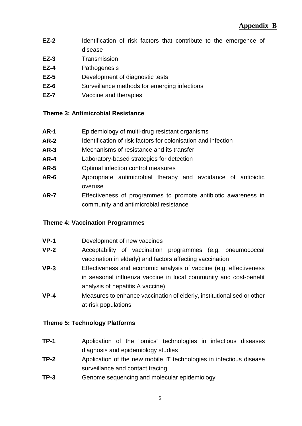- **EZ-2** Identification of risk factors that contribute to the emergence of disease
- **EZ-3** Transmission
- **EZ-4** Pathogenesis
- **EZ-5** Development of diagnostic tests
- **EZ-6** Surveillance methods for emerging infections
- **EZ-7** Vaccine and therapies

### **Theme 3: Antimicrobial Resistance**

- **AR-1** Epidemiology of multi-drug resistant organisms
- **AR-2** Identification of risk factors for colonisation and infection
- **AR-3** Mechanisms of resistance and its transfer
- **AR-4** Laboratory-based strategies for detection
- **AR-5** Optimal infection control measures
- **AR-6** Appropriate antimicrobial therapy and avoidance of antibiotic overuse
- **AR-7** Effectiveness of programmes to promote antibiotic awareness in community and antimicrobial resistance

### **Theme 4: Vaccination Programmes**

- **VP-1** Development of new vaccines
- **VP-2** Acceptability of vaccination programmes (e.g. pneumococcal vaccination in elderly) and factors affecting vaccination
- **VP-3** Effectiveness and economic analysis of vaccine (e.g. effectiveness in seasonal influenza vaccine in local community and cost-benefit analysis of hepatitis A vaccine)
- **VP-4** Measures to enhance vaccination of elderly, institutionalised or other at-risk populations

### **Theme 5: Technology Platforms**

- **TP-1** Application of the "omics" technologies in infectious diseases diagnosis and epidemiology studies
- **TP-2** Application of the new mobile IT technologies in infectious disease surveillance and contact tracing
- **TP-3** Genome sequencing and molecular epidemiology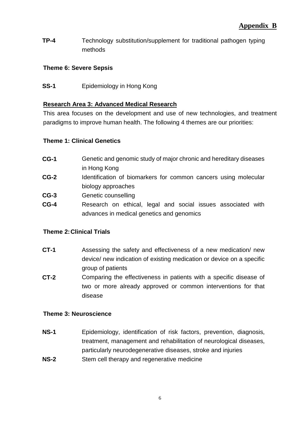**TP-4** Technology substitution/supplement for traditional pathogen typing methods

## **Theme 6: Severe Sepsis**

**SS-1** Epidemiology in Hong Kong

## **Research Area 3: Advanced Medical Research**

This area focuses on the development and use of new technologies, and treatment paradigms to improve human health. The following 4 themes are our priorities:

### **Theme 1: Clinical Genetics**

| $CG-1$ | Genetic and genomic study of major chronic and hereditary diseases |
|--------|--------------------------------------------------------------------|
|        | in Hong Kong                                                       |
| $CG-2$ | Identification of biomarkers for common cancers using molecular    |
|        | biology approaches                                                 |
| $CG-3$ | Genetic counselling                                                |
| $CG-4$ | Research on ethical, legal and social issues associated with       |
|        | advances in medical genetics and genomics                          |

### **Theme 2:Clinical Trials**

- **CT-1** Assessing the safety and effectiveness of a new medication/ new device/ new indication of existing medication or device on a specific group of patients
- **CT-2** Comparing the effectiveness in patients with a specific disease of two or more already approved or common interventions for that disease

### **Theme 3: Neuroscience**

- **NS-1** Epidemiology, identification of risk factors, prevention, diagnosis, treatment, management and rehabilitation of neurological diseases, particularly neurodegenerative diseases, stroke and injuries
- **NS-2** Stem cell therapy and regenerative medicine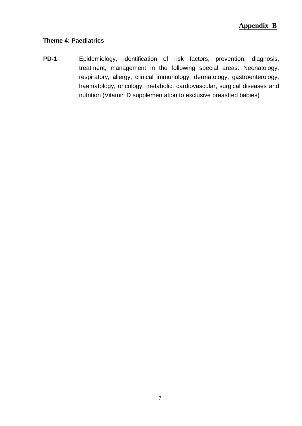#### **Theme 4: Paediatrics**

**PD-1** Epidemiology, identification of risk factors, prevention, diagnosis, treatment, management in the following special areas: Neonatology, respiratory, allergy, clinical immunology, dermatology, gastroenterology, haematology, oncology, metabolic, cardiovascular, surgical diseases and nutrition (Vitamin D supplementation to exclusive breastfed babies)